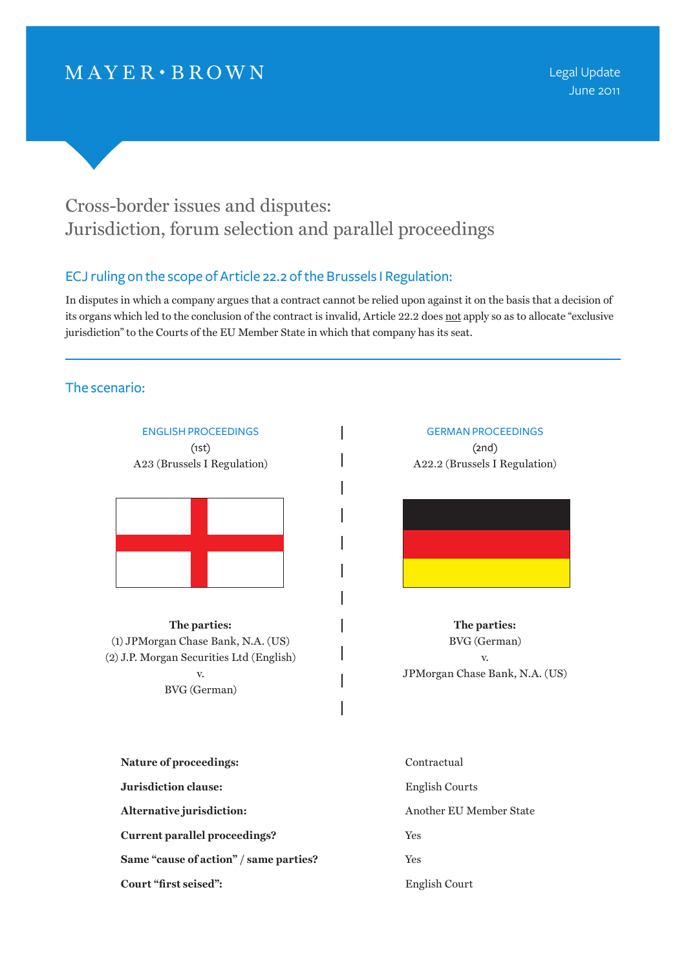# $MAYER \cdot BROWN$

Legal Update June 2011

# Cross-border issues and disputes: Jurisdiction, forum selection and parallel proceedings

# ECJ ruling on the scope of Article 22.2 of the Brussels I Regulation:

In disputes in which a company argues that a contract cannot be relied upon against it on the basis that a decision of its organs which led to the conclusion of the contract is invalid, Article 22.2 does not apply so as to allocate "exclusive jurisdiction" to the Courts of the EU Member State in which that company has its seat.

I

I

I

I

## The scenario:

ENGLISH PROCEEDINGS (1st) A23 (Brussels I Regulation)



**The parties:** (1) JPMorgan Chase Bank, N.A. (US) (2) J.P. Morgan Securities Ltd (English) v. BVG (German)

## GERMAN PROCEEDINGS (2nd) A22.2 (Brussels I Regulation)



**The parties:** BVG (German) v. JPMorgan Chase Bank, N.A. (US)

| <b>Nature of proceedings:</b>          | Contractual             |
|----------------------------------------|-------------------------|
| Jurisdiction clause:                   | English Courts          |
| Alternative jurisdiction:              | Another EU Member State |
| Current parallel proceedings?          | <b>Yes</b>              |
| Same "cause of action" / same parties? | <b>Yes</b>              |
| Court "first seised":                  | English Court           |
|                                        |                         |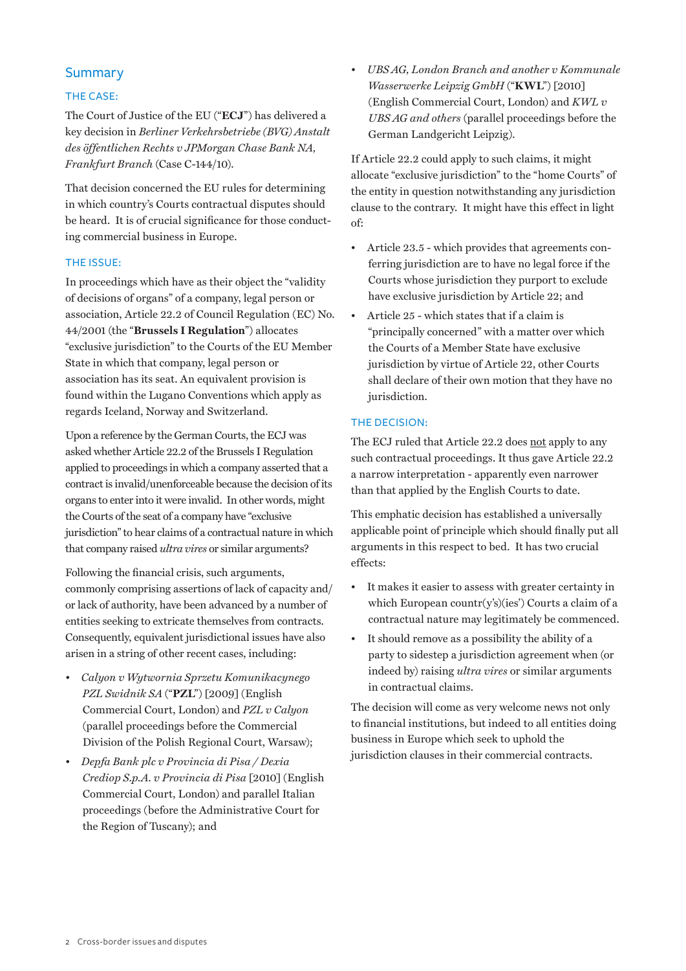## **Summary**

#### THE CASE:

The Court of Justice of the EU ("**ECJ**") has delivered a key decision in *Berliner Verkehrsbetriebe (BVG) Anstalt des öffentlichen Rechts v JPMorgan Chase Bank NA, Frankfurt Branch* (Case C-144/10).

That decision concerned the EU rules for determining in which country's Courts contractual disputes should be heard. It is of crucial significance for those conducting commercial business in Europe.

#### The issue:

In proceedings which have as their object the "validity of decisions of organs" of a company, legal person or association, Article 22.2 of Council Regulation (EC) No. 44/2001 (the "**Brussels I Regulation**") allocates "exclusive jurisdiction" to the Courts of the EU Member State in which that company, legal person or association has its seat. An equivalent provision is found within the Lugano Conventions which apply as regards Iceland, Norway and Switzerland.

Upon a reference by the German Courts, the ECJ was asked whether Article 22.2 of the Brussels I Regulation applied to proceedings in which a company asserted that a contract is invalid/unenforceable because the decision of its organs to enter into it were invalid. In other words, might the Courts of the seat of a company have "exclusive jurisdiction" to hear claims of a contractual nature in which that company raised *ultra vires* or similar arguments?

Following the financial crisis, such arguments, commonly comprising assertions of lack of capacity and/ or lack of authority, have been advanced by a number of entities seeking to extricate themselves from contracts. Consequently, equivalent jurisdictional issues have also arisen in a string of other recent cases, including:

- *• Calyon v Wytwornia Sprzetu Komunikacynego PZL Swidnik SA* ("**PZL**") [2009] (English Commercial Court, London) and *PZL v Calyon* (parallel proceedings before the Commercial Division of the Polish Regional Court, Warsaw);
- *• Depfa Bank plc v Provincia di Pisa / Dexia Crediop S.p.A. v Provincia di Pisa* [2010] (English Commercial Court, London) and parallel Italian proceedings (before the Administrative Court for the Region of Tuscany); and

*• UBS AG, London Branch and another v Kommunale Wasserwerke Leipzig GmbH* ("**KWL**") [2010] (English Commercial Court, London) and *KWL v UBS AG and others* (parallel proceedings before the German Landgericht Leipzig).

If Article 22.2 could apply to such claims, it might allocate "exclusive jurisdiction" to the "home Courts" of the entity in question notwithstanding any jurisdiction clause to the contrary. It might have this effect in light of:

- Article 23.5 which provides that agreements conferring jurisdiction are to have no legal force if the Courts whose jurisdiction they purport to exclude have exclusive jurisdiction by Article 22; and
- Article 25 which states that if a claim is "principally concerned" with a matter over which the Courts of a Member State have exclusive jurisdiction by virtue of Article 22, other Courts shall declare of their own motion that they have no jurisdiction.

#### The decision:

The ECJ ruled that Article 22.2 does not apply to any such contractual proceedings. It thus gave Article 22.2 a narrow interpretation - apparently even narrower than that applied by the English Courts to date.

This emphatic decision has established a universally applicable point of principle which should finally put all arguments in this respect to bed. It has two crucial effects:

- It makes it easier to assess with greater certainty in which European countr $(y's)(ies')$  Courts a claim of a contractual nature may legitimately be commenced.
- It should remove as a possibility the ability of a party to sidestep a jurisdiction agreement when (or indeed by) raising *ultra vires* or similar arguments in contractual claims.

The decision will come as very welcome news not only to financial institutions, but indeed to all entities doing business in Europe which seek to uphold the jurisdiction clauses in their commercial contracts.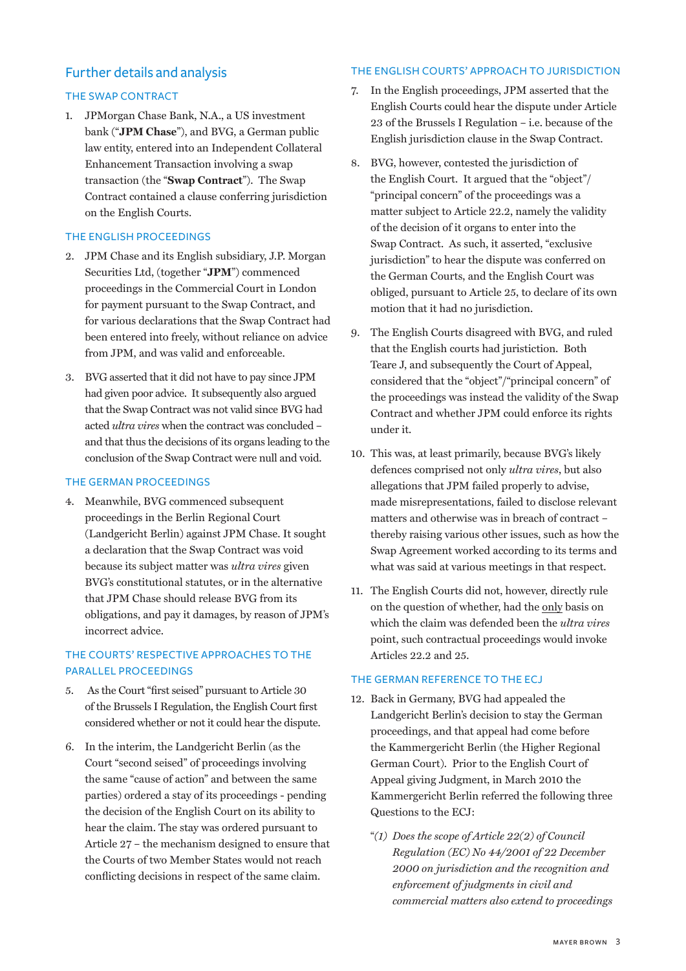# Further details and analysis

#### The English Courts' approach to jurisdiction

#### The Swap Contract

1. JPMorgan Chase Bank, N.A., a US investment bank ("**JPM Chase**"), and BVG, a German public law entity, entered into an Independent Collateral Enhancement Transaction involving a swap transaction (the "**Swap Contract**"). The Swap Contract contained a clause conferring jurisdiction on the English Courts.

#### The English proceedings

- 2. JPM Chase and its English subsidiary, J.P. Morgan Securities Ltd, (together "**JPM**") commenced proceedings in the Commercial Court in London for payment pursuant to the Swap Contract, and for various declarations that the Swap Contract had been entered into freely, without reliance on advice from JPM, and was valid and enforceable.
- 3. BVG asserted that it did not have to pay since JPM had given poor advice. It subsequently also argued that the Swap Contract was not valid since BVG had acted *ultra vires* when the contract was concluded – and that thus the decisions of its organs leading to the conclusion of the Swap Contract were null and void.

#### The German proceedings

4. Meanwhile, BVG commenced subsequent proceedings in the Berlin Regional Court (Landgericht Berlin) against JPM Chase. It sought a declaration that the Swap Contract was void because its subject matter was *ultra vires* given BVG's constitutional statutes, or in the alternative that JPM Chase should release BVG from its obligations, and pay it damages, by reason of JPM's incorrect advice.

### The Courts' respective approaches to the parallel proceedings

- 5. As the Court "first seised" pursuant to Article 30 of the Brussels I Regulation, the English Court first considered whether or not it could hear the dispute.
- 6. In the interim, the Landgericht Berlin (as the Court "second seised" of proceedings involving the same "cause of action" and between the same parties) ordered a stay of its proceedings - pending the decision of the English Court on its ability to hear the claim. The stay was ordered pursuant to Article 27 – the mechanism designed to ensure that the Courts of two Member States would not reach conflicting decisions in respect of the same claim.
- 7. In the English proceedings, JPM asserted that the English Courts could hear the dispute under Article 23 of the Brussels I Regulation – i.e. because of the English jurisdiction clause in the Swap Contract.
- 8. BVG, however, contested the jurisdiction of the English Court. It argued that the "object"/ "principal concern" of the proceedings was a matter subject to Article 22.2, namely the validity of the decision of it organs to enter into the Swap Contract. As such, it asserted, "exclusive jurisdiction" to hear the dispute was conferred on the German Courts, and the English Court was obliged, pursuant to Article 25, to declare of its own motion that it had no jurisdiction.
- 9. The English Courts disagreed with BVG, and ruled that the English courts had juristiction. Both Teare J, and subsequently the Court of Appeal, considered that the "object"/"principal concern" of the proceedings was instead the validity of the Swap Contract and whether JPM could enforce its rights under it.
- 10. This was, at least primarily, because BVG's likely defences comprised not only *ultra vires*, but also allegations that JPM failed properly to advise, made misrepresentations, failed to disclose relevant matters and otherwise was in breach of contract – thereby raising various other issues, such as how the Swap Agreement worked according to its terms and what was said at various meetings in that respect.
- 11. The English Courts did not, however, directly rule on the question of whether, had the only basis on which the claim was defended been the *ultra vires* point, such contractual proceedings would invoke Articles 22.2 and 25.

#### THE GERMAN REFERENCE TO THE ECJ

- 12. Back in Germany, BVG had appealed the Landgericht Berlin's decision to stay the German proceedings, and that appeal had come before the Kammergericht Berlin (the Higher Regional German Court). Prior to the English Court of Appeal giving Judgment, in March 2010 the Kammergericht Berlin referred the following three Questions to the ECJ:
	- "*(1) Does the scope of Article 22(2) of Council Regulation (EC) No 44/2001 of 22 December 2000 on jurisdiction and the recognition and enforcement of judgments in civil and commercial matters also extend to proceedings*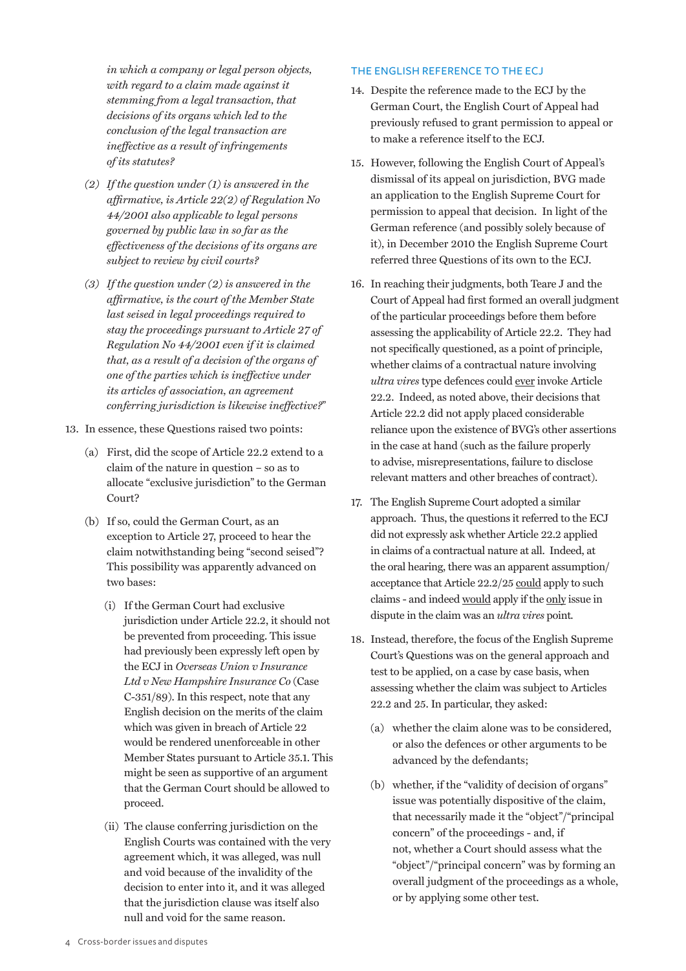*in which a company or legal person objects, with regard to a claim made against it stemming from a legal transaction, that decisions of its organs which led to the conclusion of the legal transaction are ineffective as a result of infringements of its statutes?*

- *(2) If the question under (1) is answered in the affirmative, is Article 22(2) of Regulation No 44/2001 also applicable to legal persons governed by public law in so far as the effectiveness of the decisions of its organs are subject to review by civil courts?*
- *(3) If the question under (2) is answered in the affirmative, is the court of the Member State last seised in legal proceedings required to stay the proceedings pursuant to Article 27 of Regulation No 44/2001 even if it is claimed that, as a result of a decision of the organs of one of the parties which is ineffective under its articles of association, an agreement conferring jurisdiction is likewise ineffective?*"
- 13. In essence, these Questions raised two points:
	- (a) First, did the scope of Article 22.2 extend to a claim of the nature in question – so as to allocate "exclusive jurisdiction" to the German Court?
	- (b) If so, could the German Court, as an exception to Article 27, proceed to hear the claim notwithstanding being "second seised"? This possibility was apparently advanced on two bases:
		- (i) If the German Court had exclusive jurisdiction under Article 22.2, it should not be prevented from proceeding. This issue had previously been expressly left open by the ECJ in *Overseas Union v Insurance Ltd v New Hampshire Insurance Co* (Case C-351/89). In this respect, note that any English decision on the merits of the claim which was given in breach of Article 22 would be rendered unenforceable in other Member States pursuant to Article 35.1. This might be seen as supportive of an argument that the German Court should be allowed to proceed.
		- (ii) The clause conferring jurisdiction on the English Courts was contained with the very agreement which, it was alleged, was null and void because of the invalidity of the decision to enter into it, and it was alleged that the jurisdiction clause was itself also null and void for the same reason.

#### The English reference to the ECJ

- 14. Despite the reference made to the ECJ by the German Court, the English Court of Appeal had previously refused to grant permission to appeal or to make a reference itself to the ECJ.
- 15. However, following the English Court of Appeal's dismissal of its appeal on jurisdiction, BVG made an application to the English Supreme Court for permission to appeal that decision. In light of the German reference (and possibly solely because of it), in December 2010 the English Supreme Court referred three Questions of its own to the ECJ.
- 16. In reaching their judgments, both Teare J and the Court of Appeal had first formed an overall judgment of the particular proceedings before them before assessing the applicability of Article 22.2. They had not specifically questioned, as a point of principle, whether claims of a contractual nature involving *ultra vires* type defences could ever invoke Article 22.2. Indeed, as noted above, their decisions that Article 22.2 did not apply placed considerable reliance upon the existence of BVG's other assertions in the case at hand (such as the failure properly to advise, misrepresentations, failure to disclose relevant matters and other breaches of contract).
- 17. The English Supreme Court adopted a similar approach. Thus, the questions it referred to the ECJ did not expressly ask whether Article 22.2 applied in claims of a contractual nature at all. Indeed, at the oral hearing, there was an apparent assumption/ acceptance that Article 22.2/25 could apply to such claims - and indeed would apply if the only issue in dispute in the claim was an *ultra vires* point*.*
- 18. Instead, therefore, the focus of the English Supreme Court's Questions was on the general approach and test to be applied, on a case by case basis, when assessing whether the claim was subject to Articles 22.2 and 25. In particular, they asked:
	- (a) whether the claim alone was to be considered, or also the defences or other arguments to be advanced by the defendants;
	- (b) whether, if the "validity of decision of organs" issue was potentially dispositive of the claim, that necessarily made it the "object"/"principal concern" of the proceedings - and, if not, whether a Court should assess what the "object"/"principal concern" was by forming an overall judgment of the proceedings as a whole, or by applying some other test.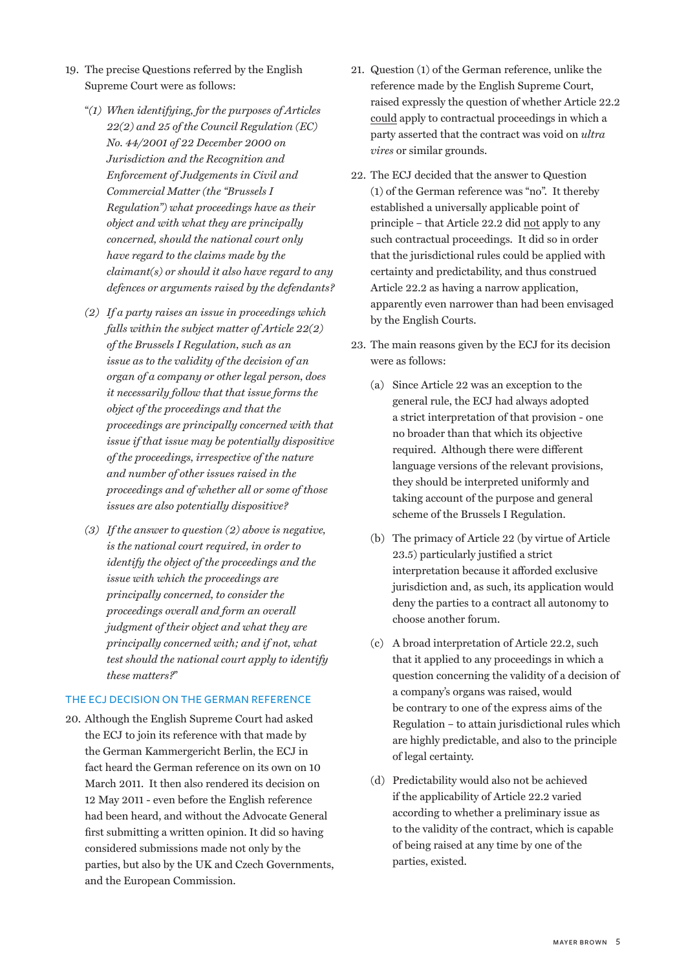- 19. The precise Questions referred by the English Supreme Court were as follows:
	- "*(1) When identifying, for the purposes of Articles 22(2) and 25 of the Council Regulation (EC) No. 44/2001 of 22 December 2000 on Jurisdiction and the Recognition and Enforcement of Judgements in Civil and Commercial Matter (the "Brussels I Regulation") what proceedings have as their object and with what they are principally concerned, should the national court only have regard to the claims made by the claimant(s) or should it also have regard to any defences or arguments raised by the defendants?*
	- *(2) If a party raises an issue in proceedings which falls within the subject matter of Article 22(2) of the Brussels I Regulation, such as an issue as to the validity of the decision of an organ of a company or other legal person, does it necessarily follow that that issue forms the object of the proceedings and that the proceedings are principally concerned with that issue if that issue may be potentially dispositive of the proceedings, irrespective of the nature and number of other issues raised in the proceedings and of whether all or some of those issues are also potentially dispositive?*
	- *(3) If the answer to question (2) above is negative, is the national court required, in order to identify the object of the proceedings and the issue with which the proceedings are principally concerned, to consider the proceedings overall and form an overall judgment of their object and what they are principally concerned with; and if not, what test should the national court apply to identify these matters?*"

#### the ECJ decision on the German reference

20. Although the English Supreme Court had asked the ECJ to join its reference with that made by the German Kammergericht Berlin, the ECJ in fact heard the German reference on its own on 10 March 2011. It then also rendered its decision on 12 May 2011 - even before the English reference had been heard, and without the Advocate General first submitting a written opinion. It did so having considered submissions made not only by the parties, but also by the UK and Czech Governments, and the European Commission.

- 21. Question (1) of the German reference, unlike the reference made by the English Supreme Court, raised expressly the question of whether Article 22.2 could apply to contractual proceedings in which a party asserted that the contract was void on *ultra vires* or similar grounds.
- 22. The ECJ decided that the answer to Question (1) of the German reference was "no". It thereby established a universally applicable point of principle – that Article 22.2 did not apply to any such contractual proceedings. It did so in order that the jurisdictional rules could be applied with certainty and predictability, and thus construed Article 22.2 as having a narrow application, apparently even narrower than had been envisaged by the English Courts.
- 23. The main reasons given by the ECJ for its decision were as follows:
	- (a) Since Article 22 was an exception to the general rule, the ECJ had always adopted a strict interpretation of that provision - one no broader than that which its objective required. Although there were different language versions of the relevant provisions, they should be interpreted uniformly and taking account of the purpose and general scheme of the Brussels I Regulation.
	- (b) The primacy of Article 22 (by virtue of Article 23.5) particularly justified a strict interpretation because it afforded exclusive jurisdiction and, as such, its application would deny the parties to a contract all autonomy to choose another forum.
	- (c) A broad interpretation of Article 22.2, such that it applied to any proceedings in which a question concerning the validity of a decision of a company's organs was raised, would be contrary to one of the express aims of the Regulation – to attain jurisdictional rules which are highly predictable, and also to the principle of legal certainty.
	- (d) Predictability would also not be achieved if the applicability of Article 22.2 varied according to whether a preliminary issue as to the validity of the contract, which is capable of being raised at any time by one of the parties, existed.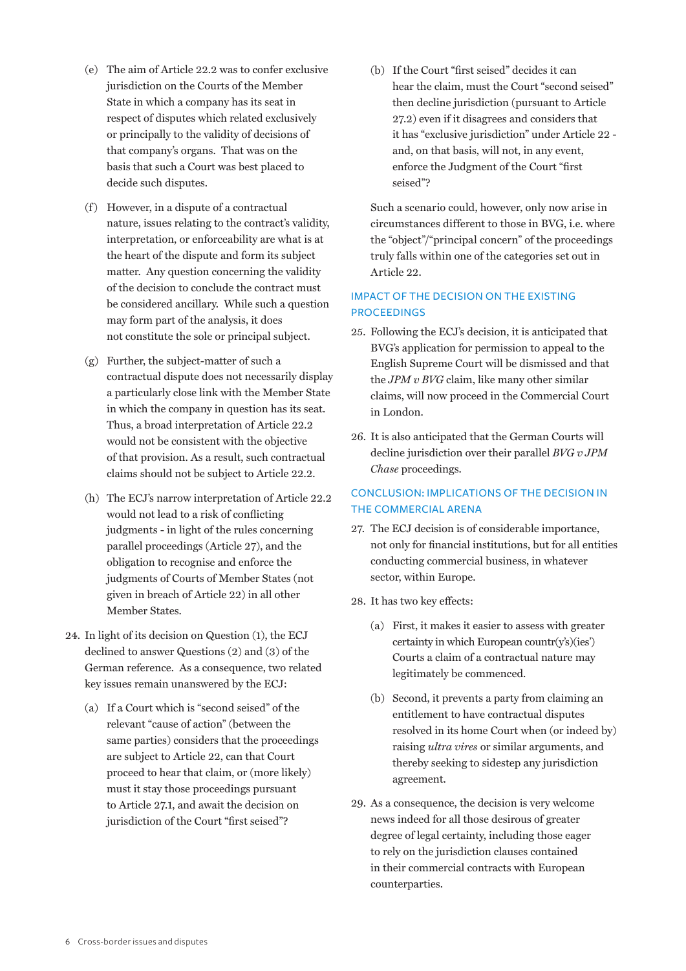- (e) The aim of Article 22.2 was to confer exclusive jurisdiction on the Courts of the Member State in which a company has its seat in respect of disputes which related exclusively or principally to the validity of decisions of that company's organs. That was on the basis that such a Court was best placed to decide such disputes.
- (f) However, in a dispute of a contractual nature, issues relating to the contract's validity, interpretation, or enforceability are what is at the heart of the dispute and form its subject matter. Any question concerning the validity of the decision to conclude the contract must be considered ancillary. While such a question may form part of the analysis, it does not constitute the sole or principal subject.
- (g) Further, the subject-matter of such a contractual dispute does not necessarily display a particularly close link with the Member State in which the company in question has its seat. Thus, a broad interpretation of Article 22.2 would not be consistent with the objective of that provision. As a result, such contractual claims should not be subject to Article 22.2.
- (h) The ECJ's narrow interpretation of Article 22.2 would not lead to a risk of conflicting judgments - in light of the rules concerning parallel proceedings (Article 27), and the obligation to recognise and enforce the judgments of Courts of Member States (not given in breach of Article 22) in all other Member States.
- 24. In light of its decision on Question (1), the ECJ declined to answer Questions (2) and (3) of the German reference. As a consequence, two related key issues remain unanswered by the ECJ:
	- (a) If a Court which is "second seised" of the relevant "cause of action" (between the same parties) considers that the proceedings are subject to Article 22, can that Court proceed to hear that claim, or (more likely) must it stay those proceedings pursuant to Article 27.1, and await the decision on jurisdiction of the Court "first seised"?

(b) If the Court "first seised" decides it can hear the claim, must the Court "second seised" then decline jurisdiction (pursuant to Article 27.2) even if it disagrees and considers that it has "exclusive jurisdiction" under Article 22 and, on that basis, will not, in any event, enforce the Judgment of the Court "first seised"?

Such a scenario could, however, only now arise in circumstances different to those in BVG, i.e. where the "object"/"principal concern" of the proceedings truly falls within one of the categories set out in Article 22.

## Impact of the decision on the existing **PROCEEDINGS**

- 25. Following the ECJ's decision, it is anticipated that BVG's application for permission to appeal to the English Supreme Court will be dismissed and that the *JPM v BVG* claim, like many other similar claims, will now proceed in the Commercial Court in London.
- 26. It is also anticipated that the German Courts will decline jurisdiction over their parallel *BVG v JPM Chase* proceedings.

## Conclusion: Implications of the decision in the commercial arena

- 27. The ECJ decision is of considerable importance, not only for financial institutions, but for all entities conducting commercial business, in whatever sector, within Europe.
- 28. It has two key effects:
	- (a) First, it makes it easier to assess with greater certainty in which European countr $(v's)(ies')$ Courts a claim of a contractual nature may legitimately be commenced.
	- (b) Second, it prevents a party from claiming an entitlement to have contractual disputes resolved in its home Court when (or indeed by) raising *ultra vires* or similar arguments, and thereby seeking to sidestep any jurisdiction agreement.
- 29. As a consequence, the decision is very welcome news indeed for all those desirous of greater degree of legal certainty, including those eager to rely on the jurisdiction clauses contained in their commercial contracts with European counterparties.